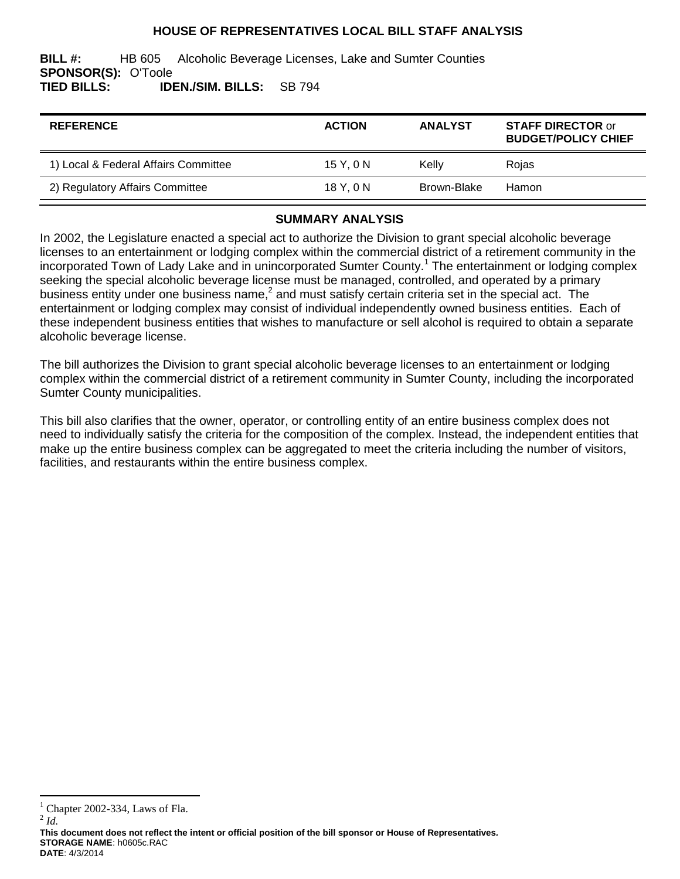#### **HOUSE OF REPRESENTATIVES LOCAL BILL STAFF ANALYSIS**

**BILL #:** HB 605 Alcoholic Beverage Licenses, Lake and Sumter Counties **SPONSOR(S):** O'Toole **TIED BILLS: IDEN./SIM. BILLS:** SB 794

| <b>REFERENCE</b>                     | <b>ACTION</b> | <b>ANALYST</b> | <b>STAFF DIRECTOR or</b><br><b>BUDGET/POLICY CHIEF</b> |
|--------------------------------------|---------------|----------------|--------------------------------------------------------|
| 1) Local & Federal Affairs Committee | 15Y.0N        | Kelly          | Rojas                                                  |
| 2) Regulatory Affairs Committee      | 18 Y.ON       | Brown-Blake    | Hamon                                                  |

# **SUMMARY ANALYSIS**

In 2002, the Legislature enacted a special act to authorize the Division to grant special alcoholic beverage licenses to an entertainment or lodging complex within the commercial district of a retirement community in the incorporated Town of Lady Lake and in unincorporated Sumter County.<sup>1</sup> The entertainment or lodging complex seeking the special alcoholic beverage license must be managed, controlled, and operated by a primary business entity under one business name,<sup>2</sup> and must satisfy certain criteria set in the special act. The entertainment or lodging complex may consist of individual independently owned business entities. Each of these independent business entities that wishes to manufacture or sell alcohol is required to obtain a separate alcoholic beverage license.

The bill authorizes the Division to grant special alcoholic beverage licenses to an entertainment or lodging complex within the commercial district of a retirement community in Sumter County, including the incorporated Sumter County municipalities.

This bill also clarifies that the owner, operator, or controlling entity of an entire business complex does not need to individually satisfy the criteria for the composition of the complex. Instead, the independent entities that make up the entire business complex can be aggregated to meet the criteria including the number of visitors, facilities, and restaurants within the entire business complex.

 $\overline{a}$ 

Chapter 2002-334, Laws of Fla.

<sup>2</sup> *Id.*

**This document does not reflect the intent or official position of the bill sponsor or House of Representatives***.* **STORAGE NAME**: h0605c.RAC **DATE**: 4/3/2014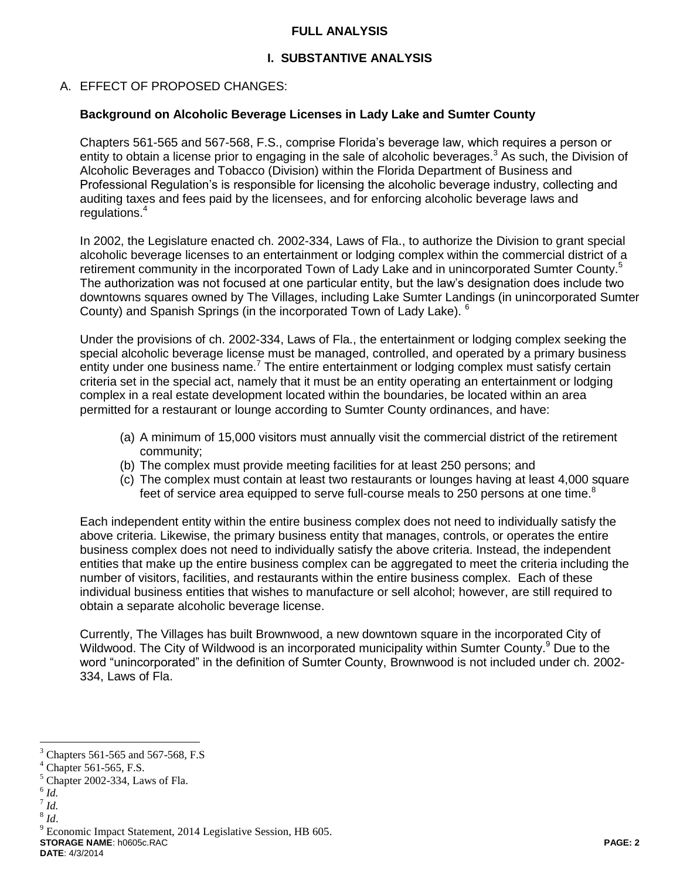#### **FULL ANALYSIS**

## **I. SUBSTANTIVE ANALYSIS**

## A. EFFECT OF PROPOSED CHANGES:

#### **Background on Alcoholic Beverage Licenses in Lady Lake and Sumter County**

Chapters 561-565 and 567-568, F.S., comprise Florida's beverage law, which requires a person or entity to obtain a license prior to engaging in the sale of alcoholic beverages.<sup>3</sup> As such, the Division of Alcoholic Beverages and Tobacco (Division) within the Florida Department of Business and Professional Regulation's is responsible for licensing the alcoholic beverage industry, collecting and auditing taxes and fees paid by the licensees, and for enforcing alcoholic beverage laws and regulations.<sup>4</sup>

In 2002, the Legislature enacted ch. 2002-334, Laws of Fla., to authorize the Division to grant special alcoholic beverage licenses to an entertainment or lodging complex within the commercial district of a retirement community in the incorporated Town of Lady Lake and in unincorporated Sumter County.<sup>5</sup> The authorization was not focused at one particular entity, but the law's designation does include two downtowns squares owned by The Villages, including Lake Sumter Landings (in unincorporated Sumter County) and Spanish Springs (in the incorporated Town of Lady Lake). <sup>6</sup>

Under the provisions of ch. 2002-334, Laws of Fla., the entertainment or lodging complex seeking the special alcoholic beverage license must be managed, controlled, and operated by a primary business entity under one business name.<sup>7</sup> The entire entertainment or lodging complex must satisfy certain criteria set in the special act, namely that it must be an entity operating an entertainment or lodging complex in a real estate development located within the boundaries, be located within an area permitted for a restaurant or lounge according to Sumter County ordinances, and have:

- (a) A minimum of 15,000 visitors must annually visit the commercial district of the retirement community;
- (b) The complex must provide meeting facilities for at least 250 persons; and
- (c) The complex must contain at least two restaurants or lounges having at least 4,000 square feet of service area equipped to serve full-course meals to 250 persons at one time.<sup>8</sup>

Each independent entity within the entire business complex does not need to individually satisfy the above criteria. Likewise, the primary business entity that manages, controls, or operates the entire business complex does not need to individually satisfy the above criteria. Instead, the independent entities that make up the entire business complex can be aggregated to meet the criteria including the number of visitors, facilities, and restaurants within the entire business complex. Each of these individual business entities that wishes to manufacture or sell alcohol; however, are still required to obtain a separate alcoholic beverage license.

Currently, The Villages has built Brownwood, a new downtown square in the incorporated City of Wildwood. The City of Wildwood is an incorporated municipality within Sumter County.<sup>9</sup> Due to the word "unincorporated" in the definition of Sumter County, Brownwood is not included under ch. 2002- 334, Laws of Fla.

 $\overline{a}$ 

- 7 *Id.*
- 8 *Id*.

<sup>3</sup> Chapters 561-565 and 567-568, F.S

 $4$  Chapter 561-565, F.S.

 $<sup>5</sup>$  Chapter 2002-334, Laws of Fla.</sup>

<sup>6</sup> *Id.*

**STORAGE NAME**: h0605c.RAC **PAGE: 2** <sup>9</sup> Economic Impact Statement, 2014 Legislative Session, HB 605.